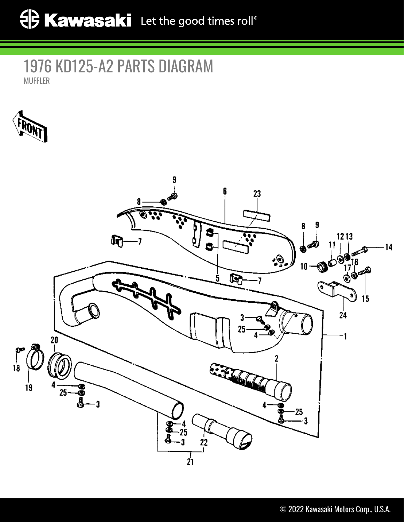## 1976 KD125-A2 PARTS DIAGRAM MUFFLER